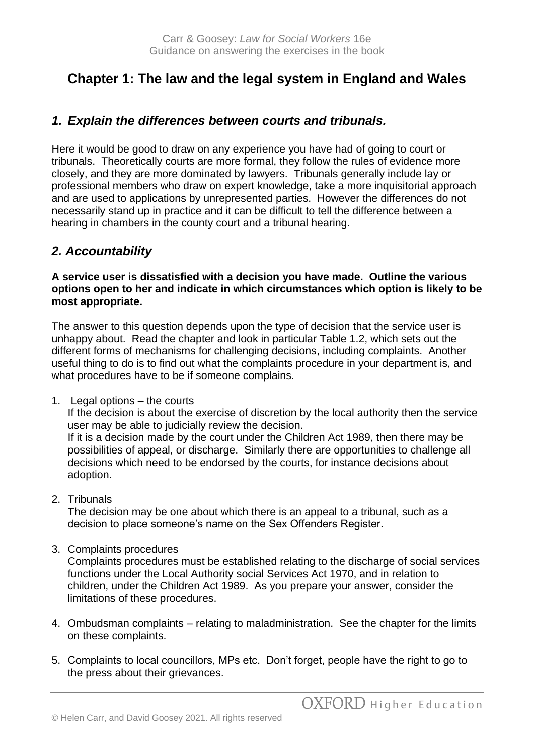# **Chapter 1: The law and the legal system in England and Wales**

## *1. Explain the differences between courts and tribunals.*

Here it would be good to draw on any experience you have had of going to court or tribunals. Theoretically courts are more formal, they follow the rules of evidence more closely, and they are more dominated by lawyers. Tribunals generally include lay or professional members who draw on expert knowledge, take a more inquisitorial approach and are used to applications by unrepresented parties. However the differences do not necessarily stand up in practice and it can be difficult to tell the difference between a hearing in chambers in the county court and a tribunal hearing.

## *2. Accountability*

**A service user is dissatisfied with a decision you have made. Outline the various options open to her and indicate in which circumstances which option is likely to be most appropriate.**

The answer to this question depends upon the type of decision that the service user is unhappy about. Read the chapter and look in particular Table 1.2, which sets out the different forms of mechanisms for challenging decisions, including complaints. Another useful thing to do is to find out what the complaints procedure in your department is, and what procedures have to be if someone complains.

1. Legal options – the courts

If the decision is about the exercise of discretion by the local authority then the service user may be able to judicially review the decision. If it is a decision made by the court under the Children Act 1989, then there may be possibilities of appeal, or discharge. Similarly there are opportunities to challenge all decisions which need to be endorsed by the courts, for instance decisions about adoption.

2. Tribunals

The decision may be one about which there is an appeal to a tribunal, such as a decision to place someone's name on the Sex Offenders Register.

3. Complaints procedures

Complaints procedures must be established relating to the discharge of social services functions under the Local Authority social Services Act 1970, and in relation to children, under the Children Act 1989. As you prepare your answer, consider the limitations of these procedures.

- 4. Ombudsman complaints relating to maladministration. See the chapter for the limits on these complaints.
- 5. Complaints to local councillors, MPs etc. Don't forget, people have the right to go to the press about their grievances.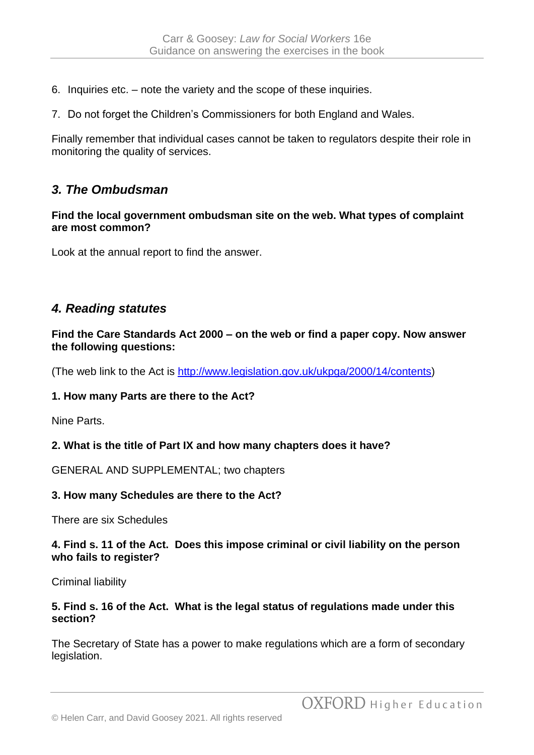- 6. Inquiries etc. note the variety and the scope of these inquiries.
- 7. Do not forget the Children's Commissioners for both England and Wales.

Finally remember that individual cases cannot be taken to regulators despite their role in monitoring the quality of services.

### *3. The Ombudsman*

#### **Find the local government ombudsman site on the web. What types of complaint are most common?**

Look at the annual report to find the answer.

### *4. Reading statutes*

**Find the Care Standards Act 2000 – on the web or find a paper copy. Now answer the following questions:**

(The web link to the Act is [http://www.legislation.gov.uk/ukpga/2000/14/contents\)](http://www.legislation.gov.uk/ukpga/2000/14/contents)

### **1. How many Parts are there to the Act?**

Nine Parts.

### **2. What is the title of Part IX and how many chapters does it have?**

GENERAL AND SUPPLEMENTAL; two chapters

#### **3. How many Schedules are there to the Act?**

There are six Schedules

#### **4. Find s. 11 of the Act. Does this impose criminal or civil liability on the person who fails to register?**

Criminal liability

#### **5. Find s. 16 of the Act. What is the legal status of regulations made under this section?**

The Secretary of State has a power to make regulations which are a form of secondary legislation.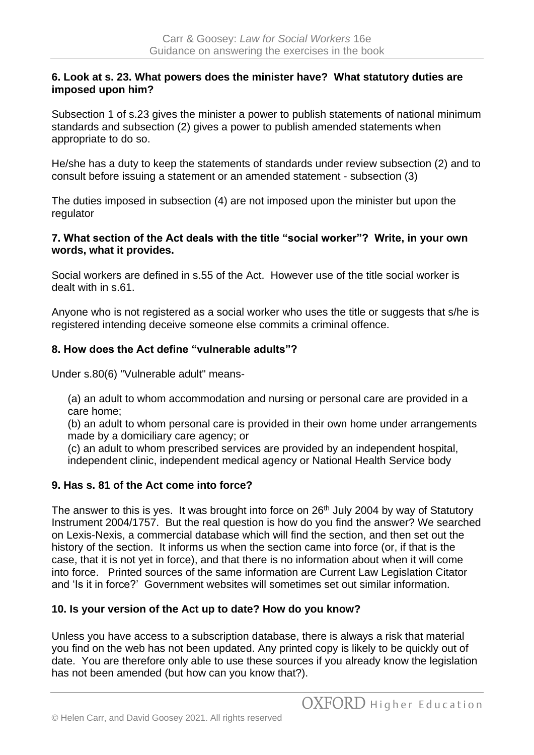#### **6. Look at s. 23. What powers does the minister have? What statutory duties are imposed upon him?**

Subsection 1 of s.23 gives the minister a power to publish statements of national minimum standards and subsection (2) gives a power to publish amended statements when appropriate to do so.

He/she has a duty to keep the statements of standards under review subsection (2) and to consult before issuing a statement or an amended statement - subsection (3)

The duties imposed in subsection (4) are not imposed upon the minister but upon the regulator

#### **7. What section of the Act deals with the title "social worker"? Write, in your own words, what it provides.**

Social workers are defined in s.55 of the Act. However use of the title social worker is dealt with in s.61.

Anyone who is not registered as a social worker who uses the title or suggests that s/he is registered intending deceive someone else commits a criminal offence.

### **8. How does the Act define "vulnerable adults"?**

Under s.80(6) "Vulnerable adult" means-

(a) an adult to whom accommodation and nursing or personal care are provided in a care home;

(b) an adult to whom personal care is provided in their own home under arrangements made by a domiciliary care agency; or

(c) an adult to whom prescribed services are provided by an independent hospital, independent clinic, independent medical agency or National Health Service body

### **9. Has s. 81 of the Act come into force?**

The answer to this is yes. It was brought into force on  $26<sup>th</sup>$  July 2004 by way of Statutory Instrument 2004/1757. But the real question is how do you find the answer? We searched on Lexis-Nexis, a commercial database which will find the section, and then set out the history of the section. It informs us when the section came into force (or, if that is the case, that it is not yet in force), and that there is no information about when it will come into force. Printed sources of the same information are Current Law Legislation Citator and 'Is it in force?' Government websites will sometimes set out similar information.

### **10. Is your version of the Act up to date? How do you know?**

Unless you have access to a subscription database, there is always a risk that material you find on the web has not been updated. Any printed copy is likely to be quickly out of date. You are therefore only able to use these sources if you already know the legislation has not been amended (but how can you know that?).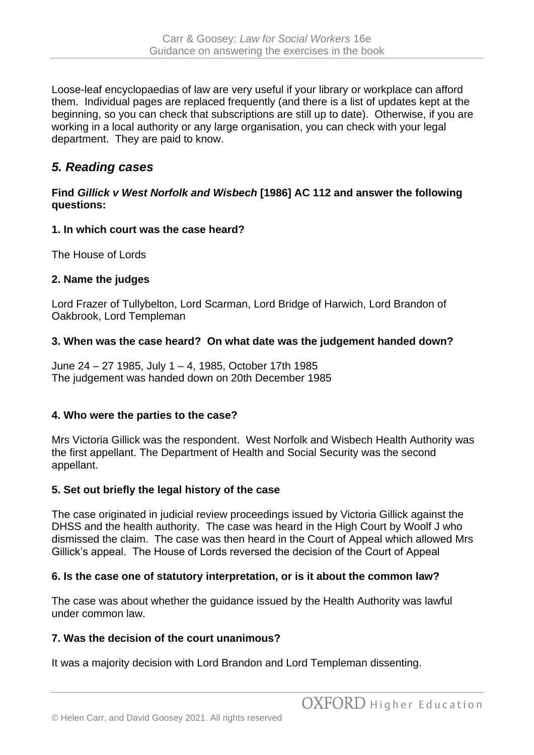Loose-leaf encyclopaedias of law are very useful if your library or workplace can afford them. Individual pages are replaced frequently (and there is a list of updates kept at the beginning, so you can check that subscriptions are still up to date). Otherwise, if you are working in a local authority or any large organisation, you can check with your legal department. They are paid to know.

## *5. Reading cases*

### **Find** *Gillick v West Norfolk and Wisbech* **[1986] AC 112 and answer the following questions:**

### **1. In which court was the case heard?**

The House of Lords

### **2. Name the judges**

Lord Frazer of Tullybelton, Lord Scarman, Lord Bridge of Harwich, Lord Brandon of Oakbrook, Lord Templeman

### **3. When was the case heard? On what date was the judgement handed down?**

June 24 – 27 1985, July 1 – 4, 1985, October 17th 1985 The judgement was handed down on 20th December 1985

### **4. Who were the parties to the case?**

Mrs Victoria Gillick was the respondent. West Norfolk and Wisbech Health Authority was the first appellant. The Department of Health and Social Security was the second appellant.

### **5. Set out briefly the legal history of the case**

The case originated in judicial review proceedings issued by Victoria Gillick against the DHSS and the health authority. The case was heard in the High Court by Woolf J who dismissed the claim. The case was then heard in the Court of Appeal which allowed Mrs Gillick's appeal. The House of Lords reversed the decision of the Court of Appeal

### **6. Is the case one of statutory interpretation, or is it about the common law?**

The case was about whether the guidance issued by the Health Authority was lawful under common law.

### **7. Was the decision of the court unanimous?**

It was a majority decision with Lord Brandon and Lord Templeman dissenting.